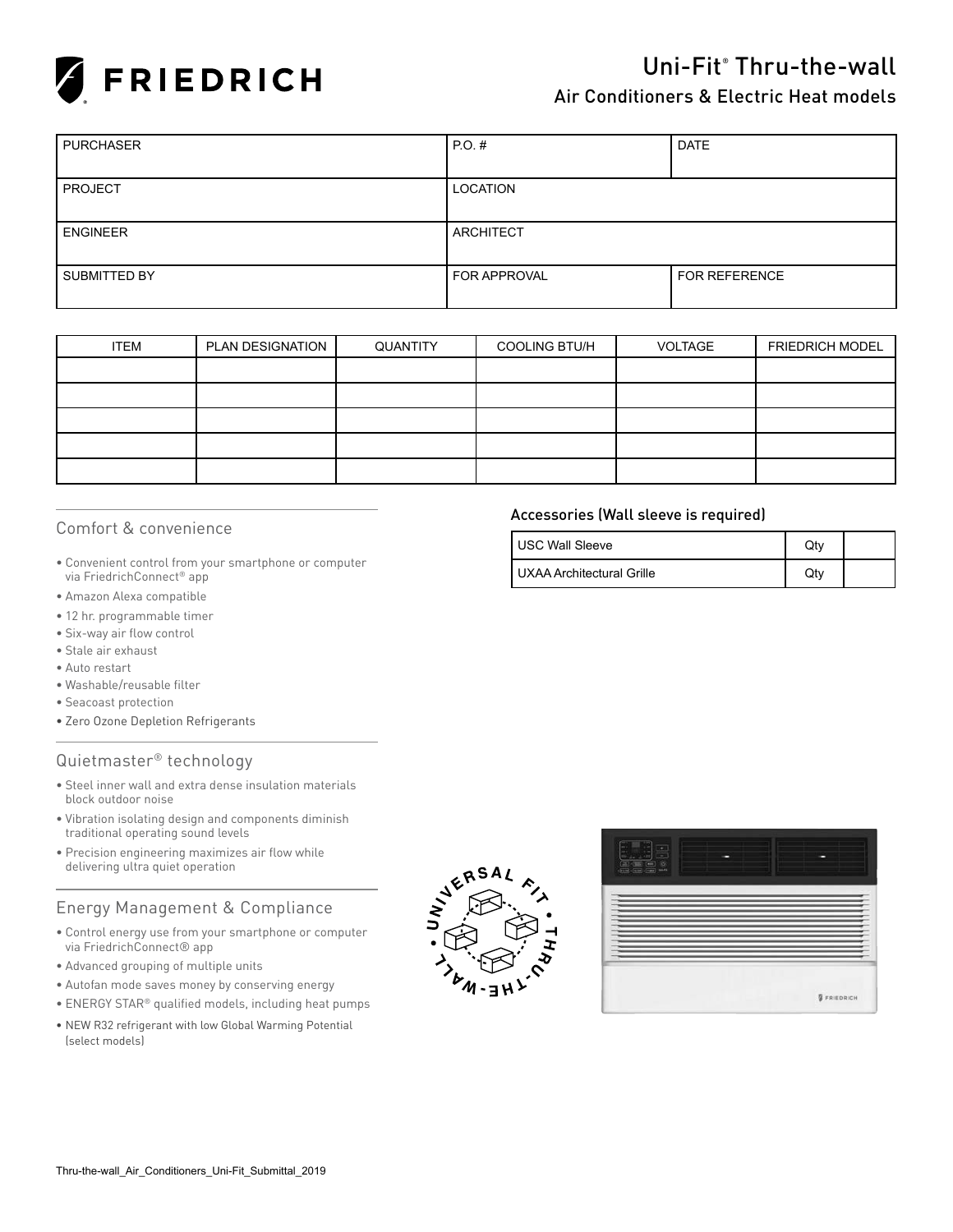

# Uni-Fit® Thru-the-wall

# Air Conditioners & Electric Heat models

| <b>PURCHASER</b> | $PO.$ #             | <b>DATE</b>          |
|------------------|---------------------|----------------------|
|                  |                     |                      |
| <b>PROJECT</b>   | <b>LOCATION</b>     |                      |
|                  |                     |                      |
| <b>ENGINEER</b>  | <b>ARCHITECT</b>    |                      |
|                  |                     |                      |
| SUBMITTED BY     | <b>FOR APPROVAL</b> | <b>FOR REFERENCE</b> |
|                  |                     |                      |

| <b>ITEM</b> | PLAN DESIGNATION | QUANTITY | <b>COOLING BTU/H</b> | <b>VOLTAGE</b> | <b>FRIEDRICH MODEL</b> |
|-------------|------------------|----------|----------------------|----------------|------------------------|
|             |                  |          |                      |                |                        |
|             |                  |          |                      |                |                        |
|             |                  |          |                      |                |                        |
|             |                  |          |                      |                |                        |
|             |                  |          |                      |                |                        |

#### Comfort & convenience

- Convenient control from your smartphone or computer via FriedrichConnect® app
- Amazon Alexa compatible
- 12 hr. programmable timer
- • Six-way air flow control
- Stale air exhaust
- Auto restart
- • Washable/reusable filter
- Seacoast protection
- Zero Ozone Depletion Refrigerants

## Quietmaster® technology

- Steel inner wall and extra dense insulation materials block outdoor noise
- Vibration isolating design and components diminish traditional operating sound levels
- • Precision engineering maximizes air flow while delivering ultra quiet operation

## Energy Management & Compliance

- Control energy use from your smartphone or computer via FriedrichConnect® app
- Advanced grouping of multiple units
- Autofan mode saves money by conserving energy
- ENERGY STAR® qualified models, including heat pumps
- NEW R32 refrigerant with low Global Warming Potential (select models)





#### Accessories (Wall sleeve is required)

| <b>USC Wall Sleeve</b>    | Qtv |  |
|---------------------------|-----|--|
| UXAA Architectural Grille | Qty |  |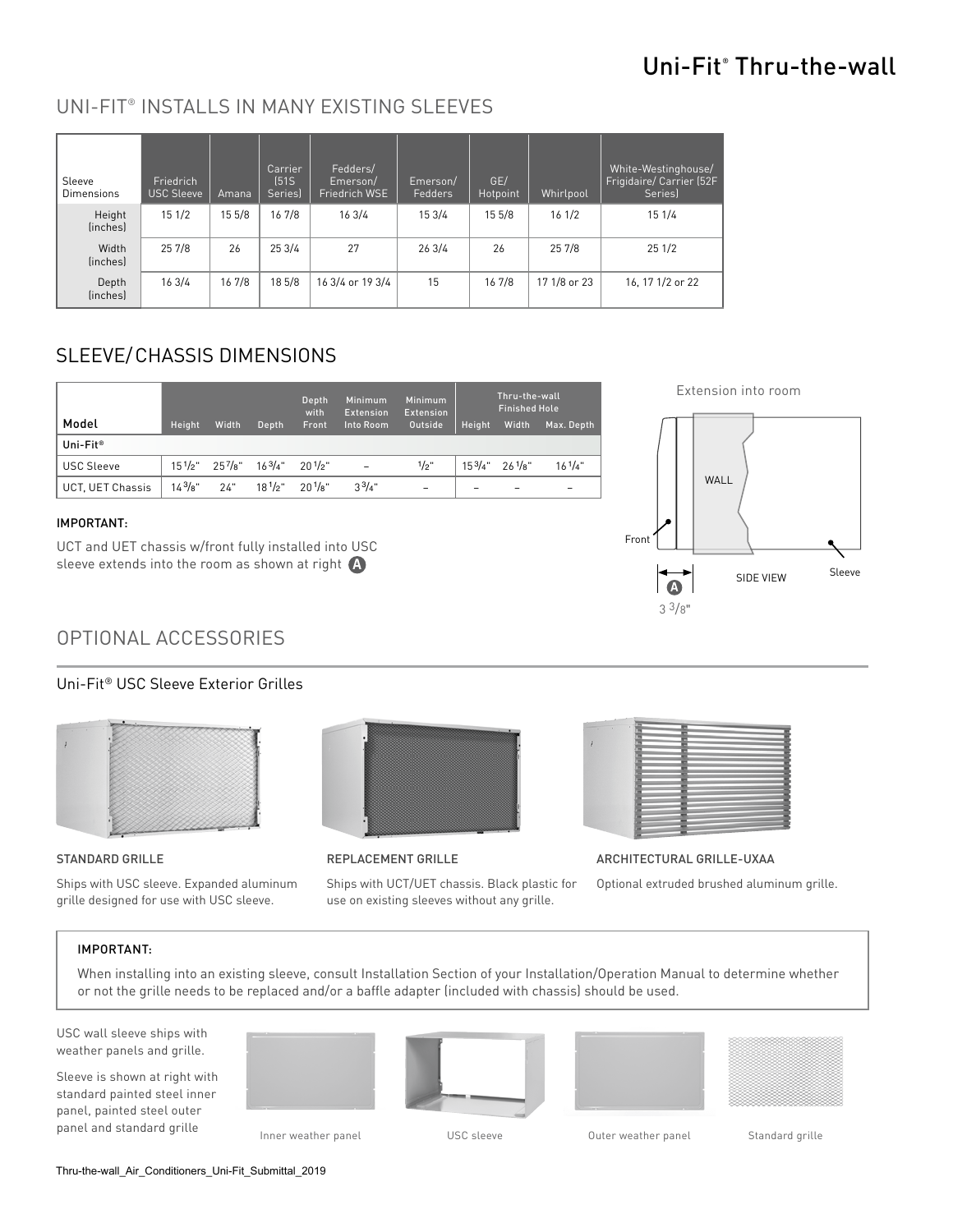# Uni-Fit® Thru-the-wall

# UNI-FIT® INSTALLS IN MANY EXISTING SLEEVES

| Sleeve<br><b>Dimensions</b> | Friedrich<br><b>USC Sleeve</b> | Amana  | Carrier<br>[51S]<br>Series) | Fedders/<br>Emerson/<br>Friedrich WSE | Emerson/<br>Fedders | GE/<br>Hotpoint | Whirlpool    | White-Westinghouse/<br>Frigidaire/Carrier (52F<br>Seriesl |
|-----------------------------|--------------------------------|--------|-----------------------------|---------------------------------------|---------------------|-----------------|--------------|-----------------------------------------------------------|
| Height<br>(inches)          | 151/2                          | 15 5/8 | 16 7/8                      | 163/4                                 | 15 3/4              | 15 5/8          | 161/2        | 15 1/4                                                    |
| Width<br>(inches)           | 25 7/8                         | 26     | 253/4                       | 27                                    | 263/4               | 26              | 25 7/8       | 251/2                                                     |
| Depth<br>(inches)           | 163/4                          | 16 7/8 | 18 5/8                      | 16 3/4 or 19 3/4                      | 15                  | 16 7/8          | 17 1/8 or 23 | 16, 17 1/2 or 22                                          |

# SLEEVE/CHASSIS DIMENSIONS

|                      |             |                                        |       | Depth<br>with             | Minimum<br><b>Extension</b> | Minimum<br><b>Extension</b> |        | Thru-the-wall<br>Finished Hole               |             |
|----------------------|-------------|----------------------------------------|-------|---------------------------|-----------------------------|-----------------------------|--------|----------------------------------------------|-------------|
| Model                | Height      | Width                                  | Depth | Front                     | Into Room                   | Outside                     | Height | Width                                        | Max. Depth  |
| Uni-Fit <sup>®</sup> |             |                                        |       |                           |                             |                             |        |                                              |             |
| <b>USC Sleeve</b>    |             | $15^{1}/2$ " $25^{7}/8$ " $16^{3}/4$ " |       | 201/2"                    | $\overline{a}$              | $1/2$ "                     |        | $15^{3}/4"$ 26 <sup>1</sup> / <sub>8</sub> " | $16^{1}/4"$ |
| UCT. UET Chassis     | $14^{3}/8"$ | 24"                                    |       | $18^{1}/2$ " $20^{1}/8$ " | $3^{3}/4$ "                 | -                           | -      |                                              | -           |

#### IMPORTANT:

UCT and UET chassis w/front fully installed into USC sleeve extends into the room as shown at right  $\bigoplus$ 

# OPTIONAL ACCESSORIES

## Uni-Fit® USC Sleeve Exterior Grilles



#### STANDARD GRILLE

Ships with USC sleeve. Expanded aluminum grille designed for use with USC sleeve.



#### REPLACEMENT GRILLE

Ships with UCT/UET chassis. Black plastic for use on existing sleeves without any grille.



ARCHITECTURAL GRILLE-UXAA

Optional extruded brushed aluminum grille.

#### IMPORTANT:

When installing into an existing sleeve, consult Installation Section of your Installation/Operation Manual to determine whether or not the grille needs to be replaced and/or a baffle adapter (included with chassis) should be used.

USC wall sleeve ships with weather panels and grille.

Sleeve is shown at right with standard painted steel inner panel, painted steel outer panel and standard grille Inner weather panel USC sleeve Couter weather panel Standard grille





| $\sim$<br>$\sim$ |             |  |  |
|------------------|-------------|--|--|
| ۰                |             |  |  |
|                  |             |  |  |
| u                | u<br>×<br>u |  |  |
| u<br>u           |             |  |  |
|                  |             |  |  |
|                  |             |  |  |
|                  |             |  |  |

Thru-the-wall\_Air\_Conditioners\_Uni-Fit\_Submittal\_2019

Extension into room